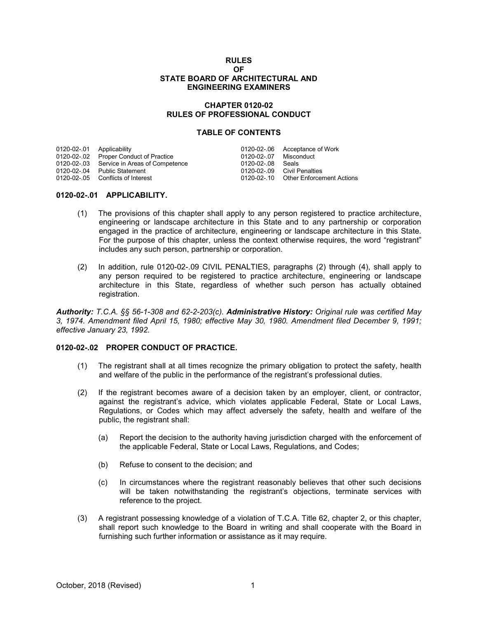#### **RULES OF STATE BOARD OF ARCHITECTURAL AND ENGINEERING EXAMINERS**

## **CHAPTER 0120-02 RULES OF PROFESSIONAL CONDUCT**

## **TABLE OF CONTENTS**

|                                            |                           | 0120-02-.06 Acceptance of Work        |
|--------------------------------------------|---------------------------|---------------------------------------|
| 0120-02-.02 Proper Conduct of Practice     | 0120-02-07 Misconduct     |                                       |
| 0120-02-.03 Service in Areas of Competence | 0120-02-08 Seals          |                                       |
| 0120-02-.04 Public Statement               |                           | 0120-02-09 Civil Penalties            |
| 0120-02-.05 Conflicts of Interest          |                           | 0120-02-.10 Other Enforcement Actions |
|                                            | 0120-02-.01 Applicability |                                       |

# **0120-02-.01 APPLICABILITY.**

- (1) The provisions of this chapter shall apply to any person registered to practice architecture, engineering or landscape architecture in this State and to any partnership or corporation engaged in the practice of architecture, engineering or landscape architecture in this State. For the purpose of this chapter, unless the context otherwise requires, the word "registrant" includes any such person, partnership or corporation.
- (2) In addition, rule 0120-02-.09 CIVIL PENALTIES, paragraphs (2) through (4), shall apply to any person required to be registered to practice architecture, engineering or landscape architecture in this State, regardless of whether such person has actually obtained registration.

*Authority: T.C.A. §§ 56-1-308 and 62-2-203(c). Administrative History: Original rule was certified May 3, 1974. Amendment filed April 15, 1980; effective May 30, 1980. Amendment filed December 9, 1991; effective January 23, 1992.*

# **0120-02-.02 PROPER CONDUCT OF PRACTICE.**

- (1) The registrant shall at all times recognize the primary obligation to protect the safety, health and welfare of the public in the performance of the registrant's professional duties.
- (2) If the registrant becomes aware of a decision taken by an employer, client, or contractor, against the registrant's advice, which violates applicable Federal, State or Local Laws, Regulations, or Codes which may affect adversely the safety, health and welfare of the public, the registrant shall:
	- (a) Report the decision to the authority having jurisdiction charged with the enforcement of the applicable Federal, State or Local Laws, Regulations, and Codes;
	- (b) Refuse to consent to the decision; and
	- (c) In circumstances where the registrant reasonably believes that other such decisions will be taken notwithstanding the registrant's objections, terminate services with reference to the project.
- (3) A registrant possessing knowledge of a violation of T.C.A. Title 62, chapter 2, or this chapter, shall report such knowledge to the Board in writing and shall cooperate with the Board in furnishing such further information or assistance as it may require.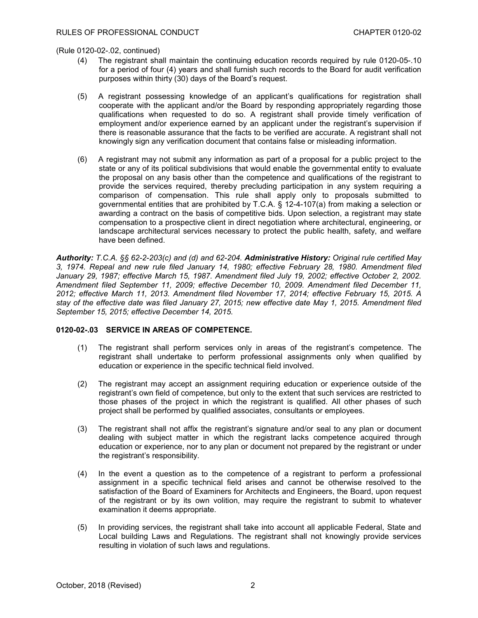(Rule 0120-02-.02, continued)

- (4) The registrant shall maintain the continuing education records required by rule 0120-05-.10 for a period of four (4) years and shall furnish such records to the Board for audit verification purposes within thirty (30) days of the Board's request.
- (5) A registrant possessing knowledge of an applicant's qualifications for registration shall cooperate with the applicant and/or the Board by responding appropriately regarding those qualifications when requested to do so. A registrant shall provide timely verification of employment and/or experience earned by an applicant under the registrant's supervision if there is reasonable assurance that the facts to be verified are accurate. A registrant shall not knowingly sign any verification document that contains false or misleading information.
- (6) A registrant may not submit any information as part of a proposal for a public project to the state or any of its political subdivisions that would enable the governmental entity to evaluate the proposal on any basis other than the competence and qualifications of the registrant to provide the services required, thereby precluding participation in any system requiring a comparison of compensation. This rule shall apply only to proposals submitted to governmental entities that are prohibited by T.C.A. § 12-4-107(a) from making a selection or awarding a contract on the basis of competitive bids. Upon selection, a registrant may state compensation to a prospective client in direct negotiation where architectural, engineering, or landscape architectural services necessary to protect the public health, safety, and welfare have been defined.

*Authority: T.C.A. §§ 62-2-203(c) and (d) and 62-204. Administrative History: Original rule certified May 3, 1974. Repeal and new rule filed January 14, 1980; effective February 28, 1980. Amendment filed January 29, 1987; effective March 15, 1987. Amendment filed July 19, 2002; effective October 2, 2002. Amendment filed September 11, 2009; effective December 10, 2009. Amendment filed December 11, 2012; effective March 11, 2013. Amendment filed November 17, 2014; effective February 15, 2015. A stay of the effective date was filed January 27, 2015; new effective date May 1, 2015. Amendment filed September 15, 2015; effective December 14, 2015.*

## **0120-02-.03 SERVICE IN AREAS OF COMPETENCE.**

- (1) The registrant shall perform services only in areas of the registrant's competence. The registrant shall undertake to perform professional assignments only when qualified by education or experience in the specific technical field involved.
- (2) The registrant may accept an assignment requiring education or experience outside of the registrant's own field of competence, but only to the extent that such services are restricted to those phases of the project in which the registrant is qualified. All other phases of such project shall be performed by qualified associates, consultants or employees.
- (3) The registrant shall not affix the registrant's signature and/or seal to any plan or document dealing with subject matter in which the registrant lacks competence acquired through education or experience, nor to any plan or document not prepared by the registrant or under the registrant's responsibility.
- (4) In the event a question as to the competence of a registrant to perform a professional assignment in a specific technical field arises and cannot be otherwise resolved to the satisfaction of the Board of Examiners for Architects and Engineers, the Board, upon request of the registrant or by its own volition, may require the registrant to submit to whatever examination it deems appropriate.
- (5) In providing services, the registrant shall take into account all applicable Federal, State and Local building Laws and Regulations. The registrant shall not knowingly provide services resulting in violation of such laws and regulations.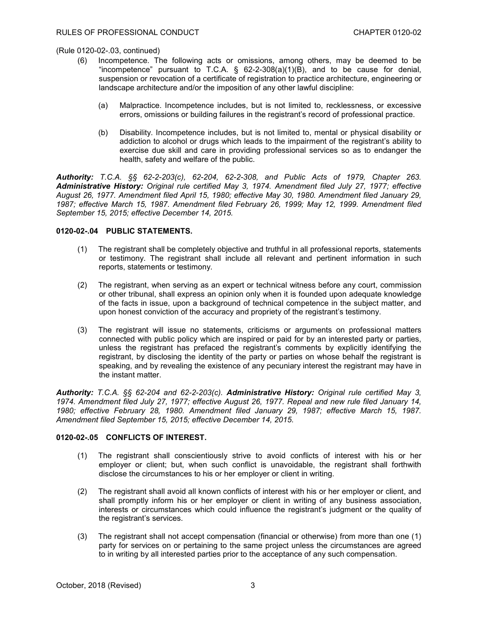(Rule 0120-02-.03, continued)

- (6) Incompetence. The following acts or omissions, among others, may be deemed to be "incompetence" pursuant to T.C.A.  $\S$  62-2-308(a)(1)(B), and to be cause for denial, suspension or revocation of a certificate of registration to practice architecture, engineering or landscape architecture and/or the imposition of any other lawful discipline:
	- (a) Malpractice. Incompetence includes, but is not limited to, recklessness, or excessive errors, omissions or building failures in the registrant's record of professional practice.
	- (b) Disability. Incompetence includes, but is not limited to, mental or physical disability or addiction to alcohol or drugs which leads to the impairment of the registrant's ability to exercise due skill and care in providing professional services so as to endanger the health, safety and welfare of the public.

*Authority: T.C.A. §§ 62-2-203(c), 62-204, 62-2-308, and Public Acts of 1979, Chapter 263. Administrative History: Original rule certified May 3, 1974. Amendment filed July 27, 1977; effective August 26, 1977. Amendment filed April 15, 1980; effective May 30, 1980. Amendment filed January 29, 1987; effective March 15, 1987. Amendment filed February 26, 1999; May 12, 1999. Amendment filed September 15, 2015; effective December 14, 2015.*

# **0120-02-.04 PUBLIC STATEMENTS.**

- (1) The registrant shall be completely objective and truthful in all professional reports, statements or testimony. The registrant shall include all relevant and pertinent information in such reports, statements or testimony.
- (2) The registrant, when serving as an expert or technical witness before any court, commission or other tribunal, shall express an opinion only when it is founded upon adequate knowledge of the facts in issue, upon a background of technical competence in the subject matter, and upon honest conviction of the accuracy and propriety of the registrant's testimony.
- (3) The registrant will issue no statements, criticisms or arguments on professional matters connected with public policy which are inspired or paid for by an interested party or parties, unless the registrant has prefaced the registrant's comments by explicitly identifying the registrant, by disclosing the identity of the party or parties on whose behalf the registrant is speaking, and by revealing the existence of any pecuniary interest the registrant may have in the instant matter.

*Authority: T.C.A. §§ 62-204 and 62-2-203(c). Administrative History: Original rule certified May 3, 1974. Amendment filed July 27, 1977; effective August 26, 1977. Repeal and new rule filed January 14, 1980; effective February 28, 1980. Amendment filed January 29, 1987; effective March 15, 1987. Amendment filed September 15, 2015; effective December 14, 2015.*

# **0120-02-.05 CONFLICTS OF INTEREST.**

- (1) The registrant shall conscientiously strive to avoid conflicts of interest with his or her employer or client; but, when such conflict is unavoidable, the registrant shall forthwith disclose the circumstances to his or her employer or client in writing.
- (2) The registrant shall avoid all known conflicts of interest with his or her employer or client, and shall promptly inform his or her employer or client in writing of any business association, interests or circumstances which could influence the registrant's judgment or the quality of the registrant's services.
- (3) The registrant shall not accept compensation (financial or otherwise) from more than one (1) party for services on or pertaining to the same project unless the circumstances are agreed to in writing by all interested parties prior to the acceptance of any such compensation.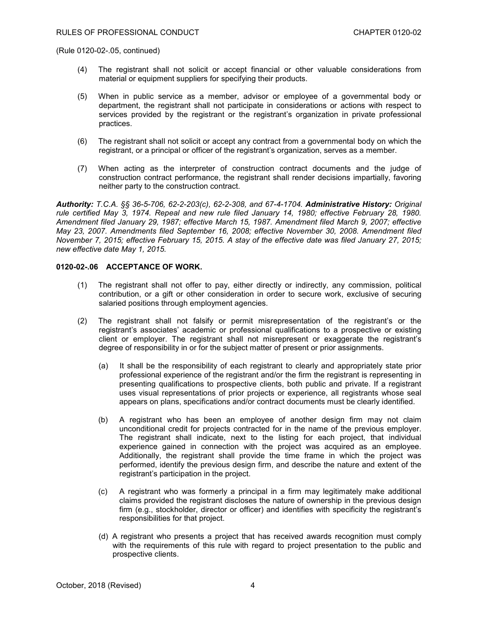(Rule 0120-02-.05, continued)

- (4) The registrant shall not solicit or accept financial or other valuable considerations from material or equipment suppliers for specifying their products.
- (5) When in public service as a member, advisor or employee of a governmental body or department, the registrant shall not participate in considerations or actions with respect to services provided by the registrant or the registrant's organization in private professional practices.
- (6) The registrant shall not solicit or accept any contract from a governmental body on which the registrant, or a principal or officer of the registrant's organization, serves as a member.
- (7) When acting as the interpreter of construction contract documents and the judge of construction contract performance, the registrant shall render decisions impartially, favoring neither party to the construction contract.

*Authority: T.C.A. §§ 36-5-706, 62-2-203(c), 62-2-308, and 67-4-1704. Administrative History: Original rule certified May 3, 1974. Repeal and new rule filed January 14, 1980; effective February 28, 1980. Amendment filed January 29, 1987; effective March 15, 1987. Amendment filed March 9, 2007; effective May 23, 2007. Amendments filed September 16, 2008; effective November 30, 2008. Amendment filed November 7, 2015; effective February 15, 2015. A stay of the effective date was filed January 27, 2015; new effective date May 1, 2015.*

## **0120-02-.06 ACCEPTANCE OF WORK.**

- (1) The registrant shall not offer to pay, either directly or indirectly, any commission, political contribution, or a gift or other consideration in order to secure work, exclusive of securing salaried positions through employment agencies.
- (2) The registrant shall not falsify or permit misrepresentation of the registrant's or the registrant's associates' academic or professional qualifications to a prospective or existing client or employer. The registrant shall not misrepresent or exaggerate the registrant's degree of responsibility in or for the subject matter of present or prior assignments.
	- (a) It shall be the responsibility of each registrant to clearly and appropriately state prior professional experience of the registrant and/or the firm the registrant is representing in presenting qualifications to prospective clients, both public and private. If a registrant uses visual representations of prior projects or experience, all registrants whose seal appears on plans, specifications and/or contract documents must be clearly identified.
	- (b) A registrant who has been an employee of another design firm may not claim unconditional credit for projects contracted for in the name of the previous employer. The registrant shall indicate, next to the listing for each project, that individual experience gained in connection with the project was acquired as an employee. Additionally, the registrant shall provide the time frame in which the project was performed, identify the previous design firm, and describe the nature and extent of the registrant's participation in the project.
	- (c) A registrant who was formerly a principal in a firm may legitimately make additional claims provided the registrant discloses the nature of ownership in the previous design firm (e.g., stockholder, director or officer) and identifies with specificity the registrant's responsibilities for that project.
	- (d) A registrant who presents a project that has received awards recognition must comply with the requirements of this rule with regard to project presentation to the public and prospective clients.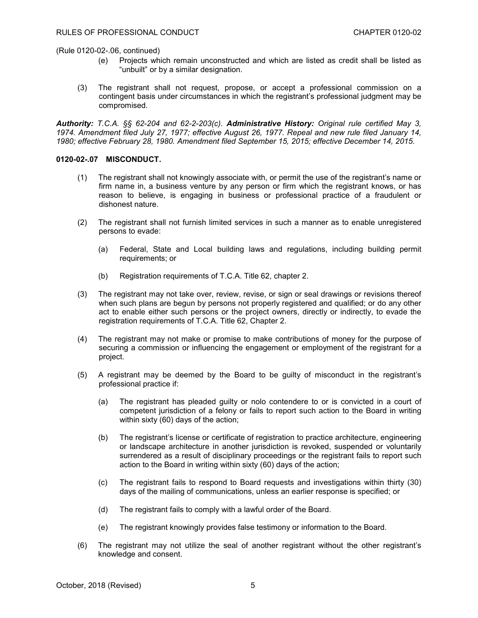(Rule 0120-02-.06, continued)

- (e) Projects which remain unconstructed and which are listed as credit shall be listed as "unbuilt" or by a similar designation.
- (3) The registrant shall not request, propose, or accept a professional commission on a contingent basis under circumstances in which the registrant's professional judgment may be compromised.

*Authority: T.C.A. §§ 62-204 and 62-2-203(c). Administrative History: Original rule certified May 3, 1974. Amendment filed July 27, 1977; effective August 26, 1977. Repeal and new rule filed January 14, 1980; effective February 28, 1980. Amendment filed September 15, 2015; effective December 14, 2015.*

## **0120-02-.07 MISCONDUCT.**

- (1) The registrant shall not knowingly associate with, or permit the use of the registrant's name or firm name in, a business venture by any person or firm which the registrant knows, or has reason to believe, is engaging in business or professional practice of a fraudulent or dishonest nature.
- (2) The registrant shall not furnish limited services in such a manner as to enable unregistered persons to evade:
	- (a) Federal, State and Local building laws and regulations, including building permit requirements; or
	- (b) Registration requirements of T.C.A. Title 62, chapter 2.
- (3) The registrant may not take over, review, revise, or sign or seal drawings or revisions thereof when such plans are begun by persons not properly registered and qualified; or do any other act to enable either such persons or the project owners, directly or indirectly, to evade the registration requirements of T.C.A. Title 62, Chapter 2.
- (4) The registrant may not make or promise to make contributions of money for the purpose of securing a commission or influencing the engagement or employment of the registrant for a project.
- (5) A registrant may be deemed by the Board to be guilty of misconduct in the registrant's professional practice if:
	- (a) The registrant has pleaded guilty or nolo contendere to or is convicted in a court of competent jurisdiction of a felony or fails to report such action to the Board in writing within sixty (60) days of the action;
	- (b) The registrant's license or certificate of registration to practice architecture, engineering or landscape architecture in another jurisdiction is revoked, suspended or voluntarily surrendered as a result of disciplinary proceedings or the registrant fails to report such action to the Board in writing within sixty (60) days of the action;
	- (c) The registrant fails to respond to Board requests and investigations within thirty (30) days of the mailing of communications, unless an earlier response is specified; or
	- (d) The registrant fails to comply with a lawful order of the Board.
	- (e) The registrant knowingly provides false testimony or information to the Board.
- (6) The registrant may not utilize the seal of another registrant without the other registrant's knowledge and consent.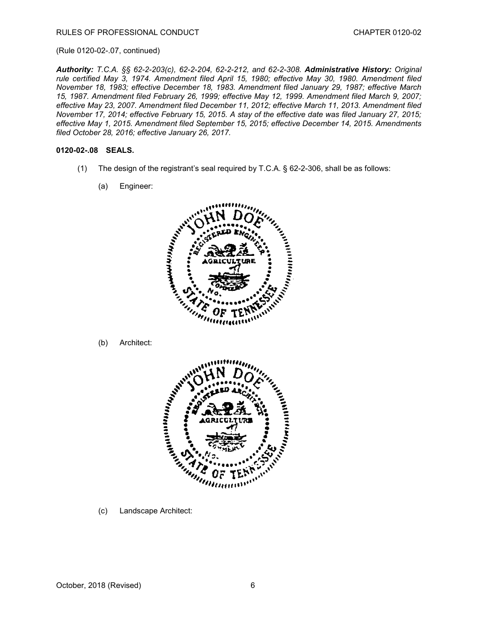#### (Rule 0120-02-.07, continued)

*Authority: T.C.A. §§ 62-2-203(c), 62-2-204, 62-2-212, and 62-2-308. Administrative History: Original rule certified May 3, 1974. Amendment filed April 15, 1980; effective May 30, 1980. Amendment filed November 18, 1983; effective December 18, 1983. Amendment filed January 29, 1987; effective March 15, 1987. Amendment filed February 26, 1999; effective May 12, 1999. Amendment filed March 9, 2007; effective May 23, 2007. Amendment filed December 11, 2012; effective March 11, 2013. Amendment filed November 17, 2014; effective February 15, 2015. A stay of the effective date was filed January 27, 2015; effective May 1, 2015. Amendment filed September 15, 2015; effective December 14, 2015. Amendments filed October 28, 2016; effective January 26, 2017.*

## **0120-02-.08 SEALS.**

- (1) The design of the registrant's seal required by T.C.A. § 62-2-306, shall be as follows:
	- (a) Engineer:



(b) Architect:



(c) Landscape Architect: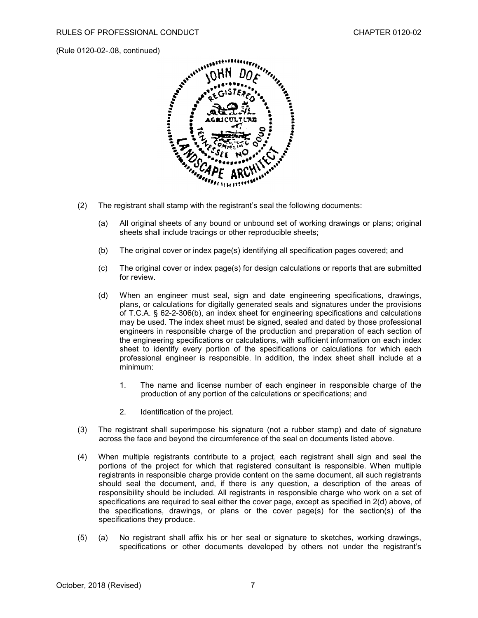(Rule 0120-02-.08, continued)



- (2) The registrant shall stamp with the registrant's seal the following documents:
	- (a) All original sheets of any bound or unbound set of working drawings or plans; original sheets shall include tracings or other reproducible sheets;
	- (b) The original cover or index page(s) identifying all specification pages covered; and
	- (c) The original cover or index page(s) for design calculations or reports that are submitted for review.
	- (d) When an engineer must seal, sign and date engineering specifications, drawings, plans, or calculations for digitally generated seals and signatures under the provisions of T.C.A. § 62-2-306(b), an index sheet for engineering specifications and calculations may be used. The index sheet must be signed, sealed and dated by those professional engineers in responsible charge of the production and preparation of each section of the engineering specifications or calculations, with sufficient information on each index sheet to identify every portion of the specifications or calculations for which each professional engineer is responsible. In addition, the index sheet shall include at a minimum:
		- 1. The name and license number of each engineer in responsible charge of the production of any portion of the calculations or specifications; and
		- 2. Identification of the project.
- (3) The registrant shall superimpose his signature (not a rubber stamp) and date of signature across the face and beyond the circumference of the seal on documents listed above.
- (4) When multiple registrants contribute to a project, each registrant shall sign and seal the portions of the project for which that registered consultant is responsible. When multiple registrants in responsible charge provide content on the same document, all such registrants should seal the document, and, if there is any question, a description of the areas of responsibility should be included. All registrants in responsible charge who work on a set of specifications are required to seal either the cover page, except as specified in 2(d) above, of the specifications, drawings, or plans or the cover page(s) for the section(s) of the specifications they produce.
- (5) (a) No registrant shall affix his or her seal or signature to sketches, working drawings, specifications or other documents developed by others not under the registrant's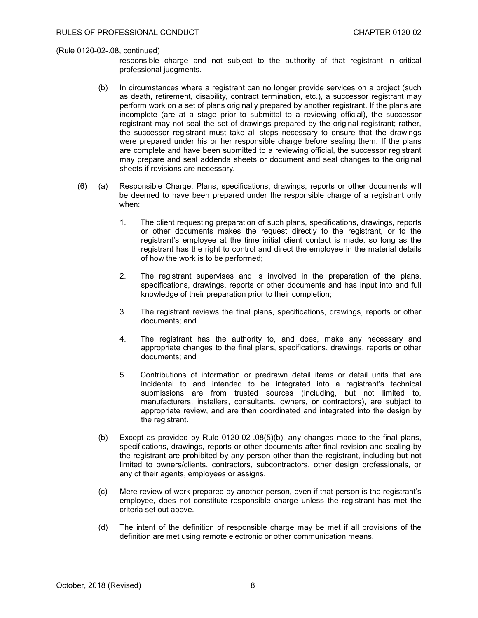#### (Rule 0120-02-.08, continued)

responsible charge and not subject to the authority of that registrant in critical professional judgments.

- (b) In circumstances where a registrant can no longer provide services on a project (such as death, retirement, disability, contract termination, etc.), a successor registrant may perform work on a set of plans originally prepared by another registrant. If the plans are incomplete (are at a stage prior to submittal to a reviewing official), the successor registrant may not seal the set of drawings prepared by the original registrant; rather, the successor registrant must take all steps necessary to ensure that the drawings were prepared under his or her responsible charge before sealing them. If the plans are complete and have been submitted to a reviewing official, the successor registrant may prepare and seal addenda sheets or document and seal changes to the original sheets if revisions are necessary.
- (6) (a) Responsible Charge. Plans, specifications, drawings, reports or other documents will be deemed to have been prepared under the responsible charge of a registrant only when:
	- 1. The client requesting preparation of such plans, specifications, drawings, reports or other documents makes the request directly to the registrant, or to the registrant's employee at the time initial client contact is made, so long as the registrant has the right to control and direct the employee in the material details of how the work is to be performed;
	- 2. The registrant supervises and is involved in the preparation of the plans, specifications, drawings, reports or other documents and has input into and full knowledge of their preparation prior to their completion;
	- 3. The registrant reviews the final plans, specifications, drawings, reports or other documents; and
	- 4. The registrant has the authority to, and does, make any necessary and appropriate changes to the final plans, specifications, drawings, reports or other documents; and
	- 5. Contributions of information or predrawn detail items or detail units that are incidental to and intended to be integrated into a registrant's technical submissions are from trusted sources (including, but not limited to, manufacturers, installers, consultants, owners, or contractors), are subject to appropriate review, and are then coordinated and integrated into the design by the registrant.
	- (b) Except as provided by Rule 0120-02-.08(5)(b), any changes made to the final plans, specifications, drawings, reports or other documents after final revision and sealing by the registrant are prohibited by any person other than the registrant, including but not limited to owners/clients, contractors, subcontractors, other design professionals, or any of their agents, employees or assigns.
	- (c) Mere review of work prepared by another person, even if that person is the registrant's employee, does not constitute responsible charge unless the registrant has met the criteria set out above.
	- (d) The intent of the definition of responsible charge may be met if all provisions of the definition are met using remote electronic or other communication means.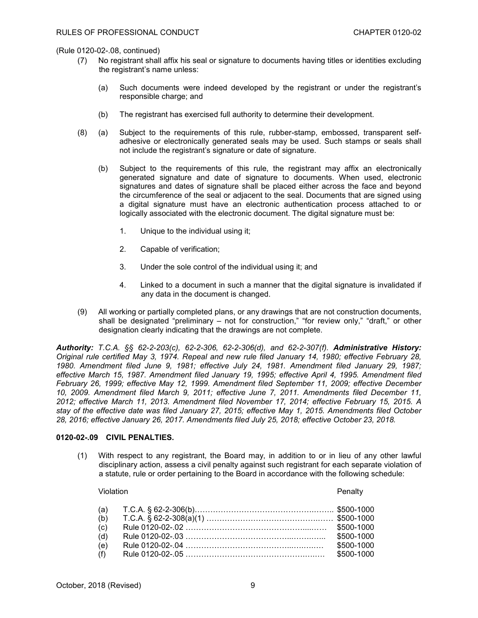(Rule 0120-02-.08, continued)

- (7) No registrant shall affix his seal or signature to documents having titles or identities excluding the registrant's name unless:
	- (a) Such documents were indeed developed by the registrant or under the registrant's responsible charge; and
	- (b) The registrant has exercised full authority to determine their development.
- (8) (a) Subject to the requirements of this rule, rubber-stamp, embossed, transparent selfadhesive or electronically generated seals may be used. Such stamps or seals shall not include the registrant's signature or date of signature.
	- (b) Subject to the requirements of this rule, the registrant may affix an electronically generated signature and date of signature to documents. When used, electronic signatures and dates of signature shall be placed either across the face and beyond the circumference of the seal or adjacent to the seal. Documents that are signed using a digital signature must have an electronic authentication process attached to or logically associated with the electronic document. The digital signature must be:
		- 1. Unique to the individual using it;
		- 2. Capable of verification;
		- 3. Under the sole control of the individual using it; and
		- 4. Linked to a document in such a manner that the digital signature is invalidated if any data in the document is changed.
- (9) All working or partially completed plans, or any drawings that are not construction documents, shall be designated "preliminary - not for construction," "for review only," "draft," or other designation clearly indicating that the drawings are not complete.

*Authority: T.C.A. §§ 62-2-203(c), 62-2-306, 62-2-306(d), and 62-2-307(f). Administrative History: Original rule certified May 3, 1974. Repeal and new rule filed January 14, 1980; effective February 28, 1980. Amendment filed June 9, 1981; effective July 24, 1981. Amendment filed January 29, 1987; effective March 15, 1987. Amendment filed January 19, 1995; effective April 4, 1995. Amendment filed February 26, 1999; effective May 12, 1999. Amendment filed September 11, 2009; effective December 10, 2009. Amendment filed March 9, 2011; effective June 7, 2011. Amendments filed December 11, 2012; effective March 11, 2013. Amendment filed November 17, 2014; effective February 15, 2015. A stay of the effective date was filed January 27, 2015; effective May 1, 2015. Amendments filed October 28, 2016; effective January 26, 2017. Amendments filed July 25, 2018; effective October 23, 2018.*

# **0120-02-.09 CIVIL PENALTIES.**

(1) With respect to any registrant, the Board may, in addition to or in lieu of any other lawful disciplinary action, assess a civil penalty against such registrant for each separate violation of a statute, rule or order pertaining to the Board in accordance with the following schedule:

#### Violation Penalty

| (a)<br>(b) |                          |
|------------|--------------------------|
| (c)<br>(d) | \$500-1000               |
| (e)<br>(f) | \$500-1000<br>\$500-1000 |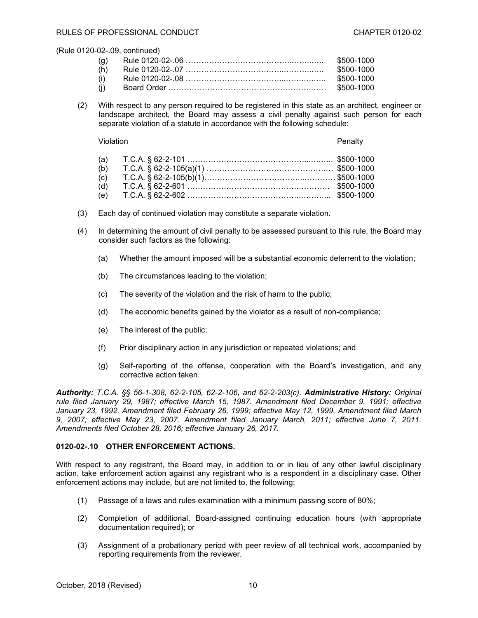(Rule 0120-02-.09, continued)

| (g) | \$500-1000 |
|-----|------------|
| (h) | \$500-1000 |
| (i) |            |
| (i) |            |

(2) With respect to any person required to be registered in this state as an architect, engineer or landscape architect, the Board may assess a civil penalty against such person for each separate violation of a statute in accordance with the following schedule:

Violation Penalty (a) T.C.A. § 62-2-101 ………………………………………...….….. \$500-1000 (b) T.C.A. § 62-2-105(a)(1) ……………………………………….… \$500-1000 (c) T.C.A. § 62-2-105(b)(1)………………………………...………… \$500-1000 (d) T.C.A. § 62-2-601 …………………………………….………… \$500-1000 (e) T.C.A. § 62-2-602 ……………………………………..………... \$500-1000

- (3) Each day of continued violation may constitute a separate violation.
- (4) In determining the amount of civil penalty to be assessed pursuant to this rule, the Board may consider such factors as the following:
	- (a) Whether the amount imposed will be a substantial economic deterrent to the violation;
	- (b) The circumstances leading to the violation;
	- (c) The severity of the violation and the risk of harm to the public;
	- (d) The economic benefits gained by the violator as a result of non-compliance;
	- (e) The interest of the public;
	- (f) Prior disciplinary action in any jurisdiction or repeated violations; and
	- (g) Self-reporting of the offense, cooperation with the Board's investigation, and any corrective action taken.

*Authority: T.C.A. §§ 56-1-308, 62-2-105, 62-2-106, and 62-2-203(c). Administrative History: Original rule filed January 29, 1987; effective March 15, 1987. Amendment filed December 9, 1991; effective January 23, 1992. Amendment filed February 26, 1999; effective May 12, 1999. Amendment filed March 9, 2007; effective May 23, 2007. Amendment filed January March, 2011; effective June 7, 2011. Amendments filed October 28, 2016; effective January 26, 2017.*

# **0120-02-.10 OTHER ENFORCEMENT ACTIONS.**

With respect to any registrant, the Board may, in addition to or in lieu of any other lawful disciplinary action, take enforcement action against any registrant who is a respondent in a disciplinary case. Other enforcement actions may include, but are not limited to, the following:

- (1) Passage of a laws and rules examination with a minimum passing score of 80%;
- (2) Completion of additional, Board-assigned continuing education hours (with appropriate documentation required); or
- (3) Assignment of a probationary period with peer review of all technical work, accompanied by reporting requirements from the reviewer.